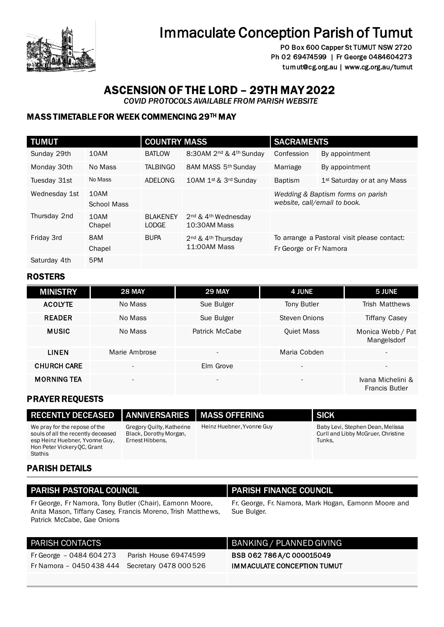

# Immaculate Conception Parish of Tumut

PO Box 600 Capper St TUMUT NSW 2720 Ph 02 69474599 | Fr George 0484604273 tumut@cg.org.au | www.cg.org.au/tumut

## ASCENSION OF THE LORD – 29TH MAY 2022

 *COVID PROTOCOLS AVAILABLE FROM PARISH WEBSITE* 

### MASS TIMETABLE FOR WEEK COMMENCING 29TH MAY

| <b>TUMUT</b>  |                            | <b>COUNTRY MASS</b>             |                                                             | <b>SACRAMENTS</b>            |                                             |
|---------------|----------------------------|---------------------------------|-------------------------------------------------------------|------------------------------|---------------------------------------------|
| Sunday 29th   | 10AM                       | <b>BATLOW</b>                   | 8:30AM 2 <sup>nd</sup> & 4 <sup>th</sup> Sunday             | Confession                   | By appointment                              |
| Monday 30th   | No Mass                    | <b>TALBINGO</b>                 | 8AM MASS 5th Sunday                                         | Marriage                     | By appointment                              |
| Tuesday 31st  | No Mass                    | ADELONG                         | 10AM 1st & 3rd Sunday                                       | <b>Baptism</b>               | 1 <sup>st</sup> Saturday or at any Mass     |
| Wednesday 1st | 10AM<br><b>School Mass</b> |                                 |                                                             | website, call/email to book. | Wedding & Baptism forms on parish           |
| Thursday 2nd  | 10AM<br>Chapel             | <b>BLAKENEY</b><br><b>LODGE</b> | 2 <sup>nd</sup> & 4 <sup>th</sup> Wednesday<br>10:30AM Mass |                              |                                             |
| Friday 3rd    | 8AM<br>Chapel              | <b>BUPA</b>                     | 2 <sup>nd</sup> & 4 <sup>th</sup> Thursdav<br>11:00AM Mass  | Fr George or Fr Namora       | To arrange a Pastoral visit please contact: |
| Saturday 4th  | 5PM                        |                                 |                                                             |                              |                                             |

### ROSTERS

| <b>MINISTRY</b>    | <b>28 MAY</b>            | <b>29 MAY</b>            | <b>4 JUNE</b>            | 5 JUNE                                     |
|--------------------|--------------------------|--------------------------|--------------------------|--------------------------------------------|
| <b>ACOLYTE</b>     | No Mass                  | Sue Bulger               | Tony Butler              | <b>Trish Matthews</b>                      |
| <b>READER</b>      | No Mass                  | Sue Bulger               | Steven Onions            | <b>Tiffany Casey</b>                       |
| <b>MUSIC</b>       | No Mass                  | Patrick McCabe           | <b>Quiet Mass</b>        | Monica Webb / Pat<br>Mangelsdorf           |
| <b>LINEN</b>       | Marie Ambrose            | $\overline{\phantom{a}}$ | Maria Cobden             | $\overline{\phantom{0}}$                   |
| <b>CHURCH CARE</b> | $\overline{\phantom{0}}$ | Elm Grove                | $\overline{\phantom{0}}$ | $\overline{\phantom{0}}$                   |
| <b>MORNING TEA</b> | $\overline{\phantom{a}}$ | $\overline{\phantom{a}}$ | $\overline{\phantom{a}}$ | Ivana Michelini &<br><b>Francis Butler</b> |

### PRAYER REQUESTS

| <b>RECENTLY DECEASED</b>                                                                                                                               | ANNIVERSARIES TMASS OFFERING                                           |                           | <b>SICK</b>                                                                      |
|--------------------------------------------------------------------------------------------------------------------------------------------------------|------------------------------------------------------------------------|---------------------------|----------------------------------------------------------------------------------|
| We pray for the repose of the<br>souls of all the recently deceased<br>esp Heinz Huebner, Yvonne Guy,<br>Hon Peter Vickery OC, Grant<br><b>Stathis</b> | Gregory Quilty, Katherine<br>Black, Dorothy Morgan,<br>Ernest Hibbens, | Heinz Huebner, Yvonne Guy | Baby Levi, Stephen Dean, Melissa<br>Curll and Libby McGruer, Christine<br>Tunks. |

### PARISH DETAILS

| <b>PARISH PASTORAL COUNCIL</b>                                                                                                                        | <b>PARISH FINANCE COUNCIL</b>                                       |
|-------------------------------------------------------------------------------------------------------------------------------------------------------|---------------------------------------------------------------------|
| Fr George, Fr Namora, Tony Butler (Chair), Eamonn Moore,<br>Anita Mason, Tiffany Casey, Francis Moreno, Trish Matthews,<br>Patrick McCabe, Gae Onions | Fr. George, Fr. Namora, Mark Hogan, Eamonn Moore and<br>Sue Bulger. |

| PARISH CONTACTS                                 |                       | BANKING / PLANNED GIVING           |
|-------------------------------------------------|-----------------------|------------------------------------|
| Fr George $-0484604273$                         | Parish House 69474599 | BSB 062 786 A/C 000015049          |
| Fr Namora - 0450 438 444 Secretary 0478 000 526 |                       | <b>IMMACULATE CONCEPTION TUMUT</b> |